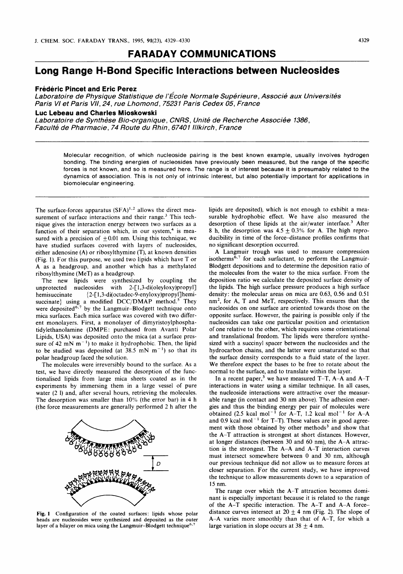## **FARADAY COMMUNICATIONS**

# **Long Range H-Bond Specific Interactions between Nucleosides**

### **Frederic Pincet and Eric Perez**

*Laboratoire de Physique Statistique de I'Ecole Normale Superieure, Associe aux Universites Paris Vl et Paris VIl, 24, rue Lhomond, 75231 Paris Cedex 05, France* 

#### **Luc Lebeau and Charles Mioskowski**

*Laboratoire de Synthese Bio-organique* , *CNRS, Unite de Recherche Associee 1386, Faculte de Pharmacie* , *74 Route du Rhin* , *6740 I lllkirch* , *France* 

> Molecular recognition, of which nucleoside pairing is the best known example, usually involves hydrogen bonding. The binding energies of nucleosides have previously been measured, but the range of the specific forces is not known, and so is measured here. The range is of interest because it is presumably related to the dynamics of association. This is not only of intrinsic interest, but also potentially important for applications in biomolecular engineering.

The surface-forces apparatus  $(SFA)^{1,2}$  allows the direct measurement of surface interactions and their range.<sup>3</sup> This technique gives the interaction energy between two surfaces as a function of their separation which, in our system, $4$  is measured with a precision of  $\pm 0.01$  nm. Using this technique, we have studied surfaces covered with layers of nucleosides, either adenosine (A) or ribosylthymine (T), at known densities (Fig. **1).** For this purpose, we used two lipids which have **T** or A as a headgroup, and another which has a methylated ribosylthymine (MeT) as a headgroup.

The new lipids were synthesized by coupling the unprotected nucleosides with **2-[1,3-di(oleyloxy)propyl]**  hemisuccinate **(2-[1,3-di(octadec-9-enyloxy)propyl]hemi**succinate} using a modified  $DCC/DMAP$  method.<sup>5</sup> They were deposited<sup>6,7</sup> by the Langmuir-Blodgett technique onto mica surfaces. Each mica surface was covered with two different monolayers. First, **a** monolayer of dimyristoylphosphatidylethanolamine (DMPE: purchased from Avanti Polar Lipids, USA) was deposited onto the mica (at a surface pressure of 42 mN  $m^{-1}$ ) to make it hydrophobic. Then, the lipid to be studied was deposited (at  $38.5$  mN m<sup>-1</sup>) so that its polar headgroup faced the solution.

The molecules were irreversibly bound to the surface. As a test, we have directly measured the desorption of the functionalised lipids from large mica sheets coated as in the experiments by immersing them in a large vessel of pure water (2 l) and, after several hours, retrieving the molecules. The desorption was smaller than 10% (the error bar) in 4 h (the force measurements are generally performed 2 h after the



**Fig. 1 Configuration of the coated surfaces: lipids whose polar heads are nucleosides were synthesized and deposited as the outer**  layer of a bilayer on mica using the Langmuir-Blodgett technique<sup>6,7</sup>

lipids are deposited), which is not enough to exhibit a measurable hydrophobic effect. We have also measured the desorption of these lipids at the air/water interface.<sup>3</sup> After 8 h, the desorption was  $4.5 \pm 0.3\%$  for A. The high reproducibility in time of the force-distance profiles confirms that no significant desorption occurred.

A Langmuir trough was used to measure compression isotherms $^{\overline{6},7}$  for each surfactant, to perform the Langmuir-Blodgett depositions and to determine the deposition ratio of the molecules from the water to the mica surface. From the deposition ratio we calculate the deposited surface density of the lipids. The high surface pressure produces a high surface density: the molecular areas on mica are **0.63, 0.56** and **0.51**  nm2, for A, T and MeT, respectively. This ensures that the nucleosides on one surface are oriented towards those on the opposite surface. However, the pairing is possible only if the nucleosides can take one particular position and orientation of one relative to the other, which requires some orientational and translational freedom. The lipids were therefore synthesized with a succinyl spacer between the nucleosides and the hydrocarbon chains, and the latter were unsaturated so that the surface density corresponds to a fluid state of the layer. We therefore expect the bases to be free to rotate about the normal to the surface, and to translate within the layer.

In a recent paper,<sup>3</sup> we have measured T-T, A-A and A-T interactions in water using a similar technique. In all cases, the nucleoside interactions were attractive over the measurable range (in contact and 30 nm above). The adhesion energies and thus the binding energy per pair of molecules were obtained (2.5 kcal mol<sup>-1</sup> for A-T, 1.2 kcal mol<sup>-1</sup> for A-A and  $0.9$  kcal mol<sup>-1</sup> for T-T). These values are in good agreement with those obtained by other methods<sup>3</sup> and show that the A-T attraction is strongest at short distances. However, at longer distances (between **30** and **60** nm), the A-A attraction is the strongest. The A-A and A-T interaction curves must intersect somewhere between 0 and **30** nm, although our previous technique did not allow us to measure forces at closer separation. For the current study, we have improved the technique to allow measurements down to a separation of 15 nm.

The range over which the A-T attraction becomes dominant is especially important because it is related to the range of the A-T specific interaction. The A-T and A-A forcedistance curves intersect at  $20 \pm 4$  nm (Fig. 2). The slope of A-A varies more smoothly than that of A-T, for which a large variation in slope occurs at  $38 \pm 4$  nm.